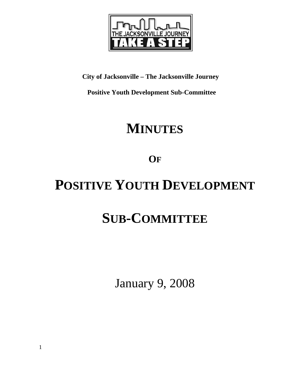

**City of Jacksonville – The Jacksonville Journey** 

 **Positive Youth Development Sub-Committee** 

## **MINUTES**

**OF**

# **POSITIVE YOUTH DEVELOPMENT**

# **SUB-COMMITTEE**

January 9, 2008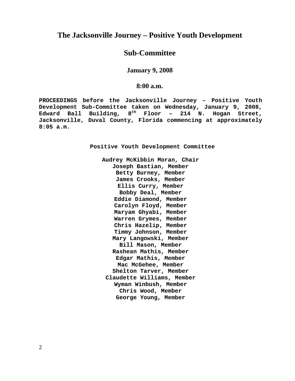### **The Jacksonville Journey – Positive Youth Development**

## **Sub-Committee**

**January 9, 2008** 

#### **8:00 a.m.**

**PROCEEDINGS before the Jacksonville Journey – Positive Youth Development Sub-Committee taken on Wednesday, January 9, 2008, Edward Ball Building, 8th Floor – 214 N. Hogan Street, Jacksonville, Duval County, Florida commencing at approximately 8:05 a.m.** 

**Positive Youth Development Committee** 

**Audrey McKibbin Moran, Chair Joseph Bastian, Member Betty Burney, Member James Crooks, Member Ellis Curry, Member Bobby Deal, Member Eddie Diamond, Member Carolyn Floyd, Member Maryam Ghyabi, Member Warren Grymes, Member Chris Hazelip, Member Timmy Johnson, Member Mary Langowski, Member Bill Mason, Member Rashean Mathis, Member Edgar Mathis, Member Mac McGehee, Member Shelton Tarver, Member Claudette Williams, Member Wyman Winbush, Member Chris Wood, Member George Young, Member**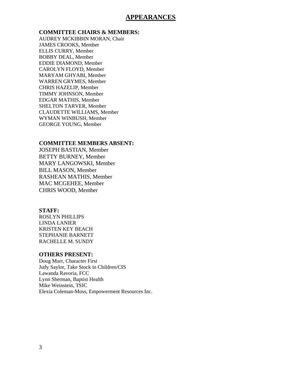#### **APPEARANCES**

#### **COMMITTEE CHAIRS & MEMBERS:**

AUDREY MCKIBBIN MORAN, Chair JAMES CROOKS, Member ELLIS CURRY, Member BOBBY DEAL, Member EDDIE DIAMOND, Member CAROLYN FLOYD, Member MARYAM GHYABI, Member WARREN GRYMES, Member CHRIS HAZELIP, Member TIMMY JOHNSON, Member EDGAR MATHIS, Member SHELTON TARVER, Member CLAUDETTE WILLIAMS, Member WYMAN WINBUSH, Member GEORGE YOUNG, Member

#### **COMMITTEE MEMBERS ABSENT:**

JOSEPH BASTIAN, Member BETTY BURNEY, Member MARY LANGOWSKI, Member BILL MASON, Member RASHEAN MATHIS, Member MAC MCGEHEE, Member CHRIS WOOD, Member

#### **STAFF:**

ROSLYN PHILLIPS LINDA LANIER KRISTEN KEY BEACH STEPHANIE BARNETT RACHELLE M. SUNDY

#### **OTHERS PRESENT:**

Doug Murr, Character First Judy Saylor, Take Stock in Children/CIS Lawanda Ravoria, FCC Lynn Sherman, Baptist Health Mike Weinstein, TSIC Elexia Coleman-Moss, Empowerment Resources Inc.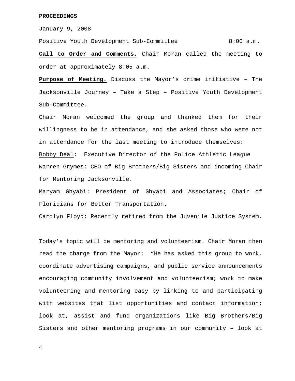January 9, 2008

Positive Youth Development Sub-Committee 8:00 a.m.

**Call to Order and Comments.** Chair Moran called the meeting to order at approximately 8:05 a.m.

**Purpose of Meeting.** Discuss the Mayor's crime initiative – The Jacksonville Journey – Take a Step – Positive Youth Development Sub-Committee.

Chair Moran welcomed the group and thanked them for their willingness to be in attendance, and she asked those who were not in attendance for the last meeting to introduce themselves: Bobby Deal: Executive Director of the Police Athletic League Warren Grymes: CEO of Big Brothers/Big Sisters and incoming Chair for Mentoring Jacksonville.

Maryam Ghyabi: President of Ghyabi and Associates; Chair of Floridians for Better Transportation.

Carolyn Floyd: Recently retired from the Juvenile Justice System.

Today's topic will be mentoring and volunteerism. Chair Moran then read the charge from the Mayor: "He has asked this group to work, coordinate advertising campaigns, and public service announcements encouraging community involvement and volunteerism; work to make volunteering and mentoring easy by linking to and participating with websites that list opportunities and contact information; look at, assist and fund organizations like Big Brothers/Big Sisters and other mentoring programs in our community – look at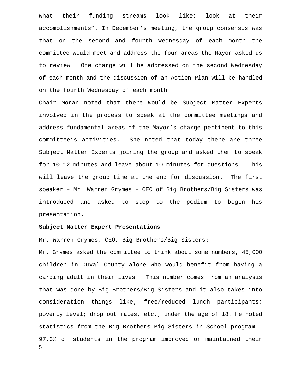what their funding streams look like; look at their accomplishments". In December's meeting, the group consensus was that on the second and fourth Wednesday of each month the committee would meet and address the four areas the Mayor asked us to review. One charge will be addressed on the second Wednesday of each month and the discussion of an Action Plan will be handled on the fourth Wednesday of each month.

Chair Moran noted that there would be Subject Matter Experts involved in the process to speak at the committee meetings and address fundamental areas of the Mayor's charge pertinent to this committee's activities. She noted that today there are three Subject Matter Experts joining the group and asked them to speak for 10-12 minutes and leave about 10 minutes for questions. This will leave the group time at the end for discussion. The first speaker – Mr. Warren Grymes – CEO of Big Brothers/Big Sisters was introduced and asked to step to the podium to begin his presentation.

#### **Subject Matter Expert Presentations**

#### Mr. Warren Grymes, CEO, Big Brothers/Big Sisters:

5 Mr. Grymes asked the committee to think about some numbers, 45,000 children in Duval County alone who would benefit from having a carding adult in their lives. This number comes from an analysis that was done by Big Brothers/Big Sisters and it also takes into consideration things like; free/reduced lunch participants; poverty level; drop out rates, etc.; under the age of 18. He noted statistics from the Big Brothers Big Sisters in School program – 97.3% of students in the program improved or maintained their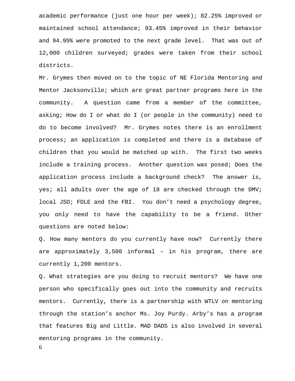academic performance (just one hour per week); 82.25% improved or maintained school attendance; 93.45% improved in their behavior and 94.95% were promoted to the next grade level. That was out of 12,000 children surveyed; grades were taken from their school districts.

Mr. Grymes then moved on to the topic of NE Florida Mentoring and Mentor Jacksonville; which are great partner programs here in the community. A question came from a member of the committee, asking; How do I or what do I (or people in the community) need to do to become involved? Mr. Grymes notes there is an enrollment process; an application is completed and there is a database of children that you would be matched up with. The first two weeks include a training process. Another question was posed; Does the application process include a background check? The answer is, yes; all adults over the age of 18 are checked through the DMV; local JSO; FDLE and the FBI. You don't need a psychology degree, you only need to have the capability to be a friend. Other questions are noted below:

Q. How many mentors do you currently have now? Currently there are approximately 3,500 informal – in his program, there are currently 1,200 mentors.

Q. What strategies are you doing to recruit mentors? We have one person who specifically goes out into the community and recruits mentors. Currently, there is a partnership with WTLV on mentoring through the station's anchor Ms. Joy Purdy. Arby's has a program that features Big and Little. MAD DADS is also involved in several mentoring programs in the community.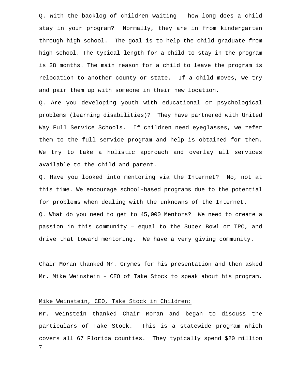Q. With the backlog of children waiting – how long does a child stay in your program? Normally, they are in from kindergarten through high school. The goal is to help the child graduate from high school. The typical length for a child to stay in the program is 28 months. The main reason for a child to leave the program is relocation to another county or state. If a child moves, we try and pair them up with someone in their new location.

Q. Are you developing youth with educational or psychological problems (learning disabilities)? They have partnered with United Way Full Service Schools. If children need eyeglasses, we refer them to the full service program and help is obtained for them. We try to take a holistic approach and overlay all services available to the child and parent.

Q. Have you looked into mentoring via the Internet? No, not at this time. We encourage school-based programs due to the potential for problems when dealing with the unknowns of the Internet.

Q. What do you need to get to 45,000 Mentors? We need to create a passion in this community – equal to the Super Bowl or TPC, and drive that toward mentoring. We have a very giving community.

Chair Moran thanked Mr. Grymes for his presentation and then asked Mr. Mike Weinstein – CEO of Take Stock to speak about his program.

#### Mike Weinstein, CEO, Take Stock in Children:

7 Mr. Weinstein thanked Chair Moran and began to discuss the particulars of Take Stock. This is a statewide program which covers all 67 Florida counties. They typically spend \$20 million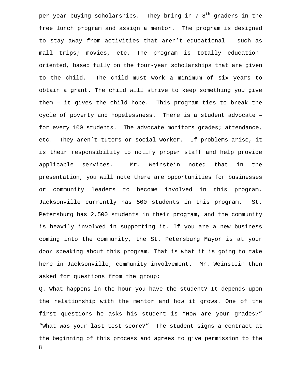per year buying scholarships. They bring in  $7-8^{th}$  graders in the free lunch program and assign a mentor. The program is designed to stay away from activities that aren't educational – such as mall trips; movies, etc. The program is totally educationoriented, based fully on the four-year scholarships that are given to the child. The child must work a minimum of six years to obtain a grant. The child will strive to keep something you give them – it gives the child hope. This program ties to break the cycle of poverty and hopelessness. There is a student advocate – for every 100 students. The advocate monitors grades; attendance, etc. They aren't tutors or social worker. If problems arise, it is their responsibility to notify proper staff and help provide applicable services. Mr. Weinstein noted that in the presentation, you will note there are opportunities for businesses or community leaders to become involved in this program. Jacksonville currently has 500 students in this program. St. Petersburg has 2,500 students in their program, and the community is heavily involved in supporting it. If you are a new business coming into the community, the St. Petersburg Mayor is at your door speaking about this program. That is what it is going to take here in Jacksonville, community involvement. Mr. Weinstein then asked for questions from the group:

8 Q. What happens in the hour you have the student? It depends upon the relationship with the mentor and how it grows. One of the first questions he asks his student is "How are your grades?" "What was your last test score?" The student signs a contract at the beginning of this process and agrees to give permission to the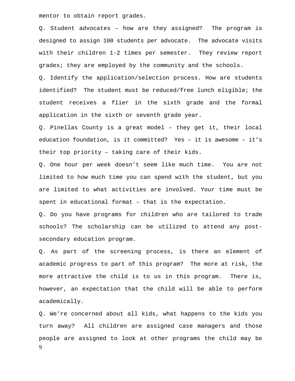mentor to obtain report grades.

Q. Student advocates – how are they assigned? The program is designed to assign 100 students per advocate. The advocate visits with their children 1-2 times per semester. They review report grades; they are employed by the community and the schools.

Q. Identify the application/selection process. How are students identified? The student must be reduced/free lunch eligible; the student receives a flier in the sixth grade and the formal application in the sixth or seventh grade year.

Q. Pinellas County is a great model – they get it, their local education foundation, is it committed? Yes – it is awesome – it's their top priority – taking care of their kids.

Q. One hour per week doesn't seem like much time. You are not limited to how much time you can spend with the student, but you are limited to what activities are involved. Your time must be spent in educational format – that is the expectation.

Q. Do you have programs for children who are tailored to trade schools? The scholarship can be utilized to attend any postsecondary education program.

Q. As part of the screening process, is there an element of academic progress to part of this program? The more at risk, the more attractive the child is to us in this program. There is, however, an expectation that the child will be able to perform academically.

9 Q. We're concerned about all kids, what happens to the kids you turn away? All children are assigned case managers and those people are assigned to look at other programs the child may be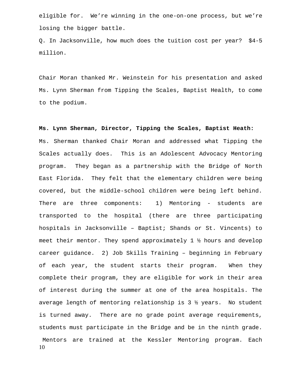eligible for. We're winning in the one-on-one process, but we're losing the bigger battle.

Q. In Jacksonville, how much does the tuition cost per year? \$4-5 million.

Chair Moran thanked Mr. Weinstein for his presentation and asked Ms. Lynn Sherman from Tipping the Scales, Baptist Health, to come to the podium.

10 **Ms. Lynn Sherman, Director, Tipping the Scales, Baptist Heath:**  Ms. Sherman thanked Chair Moran and addressed what Tipping the Scales actually does. This is an Adolescent Advocacy Mentoring program. They began as a partnership with the Bridge of North East Florida. They felt that the elementary children were being covered, but the middle-school children were being left behind. There are three components: 1) Mentoring - students are transported to the hospital (there are three participating hospitals in Jacksonville – Baptist; Shands or St. Vincents) to meet their mentor. They spend approximately 1 ½ hours and develop career guidance. 2) Job Skills Training – beginning in February of each year, the student starts their program. When they complete their program, they are eligible for work in their area of interest during the summer at one of the area hospitals. The average length of mentoring relationship is 3 ½ years. No student is turned away. There are no grade point average requirements, students must participate in the Bridge and be in the ninth grade. Mentors are trained at the Kessler Mentoring program. Each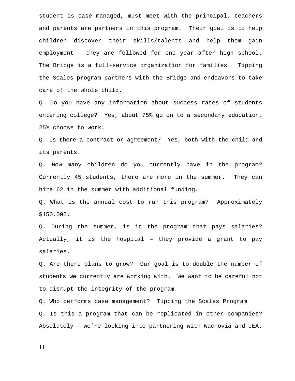student is case managed, must meet with the principal, teachers and parents are partners in this program. Their goal is to help children discover their skills/talents and help them gain employment – they are followed for one year after high school. The Bridge is a full-service organization for families. Tipping the Scales program partners with the Bridge and endeavors to take care of the whole child.

Q. Do you have any information about success rates of students entering college? Yes, about 75% go on to a secondary education, 25% choose to work.

Q. Is there a contract or agreement? Yes, both with the child and its parents.

Q. How many children do you currently have in the program? Currently 45 students, there are more in the summer. They can hire 62 in the summer with additional funding.

Q. What is the annual cost to run this program? Approximately \$150,000.

Q. During the summer, is it the program that pays salaries? Actually, it is the hospital – they provide a grant to pay salaries.

Q. Are there plans to grow? Our goal is to double the number of students we currently are working with. We want to be careful not to disrupt the integrity of the program.

Q. Who performs case management? Tipping the Scales Program Q. Is this a program that can be replicated in other companies? Absolutely – we're looking into partnering with Wachovia and JEA.